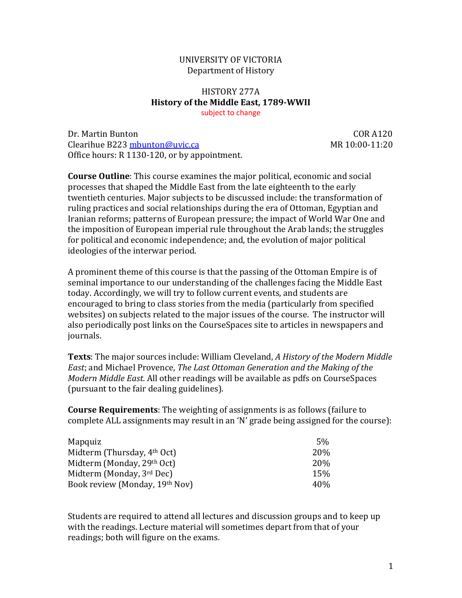## UNIVERSITY OF VICTORIA Department of History

## HISTORY 277A **History of the Middle East, 1789-WWII** subject to change

Dr. Martin Bunton COR A120 Clearihue B22[3 mbunton@uvic.ca](mailto:mbunton@uvic.ca) Office hours: R 1130-120, or by appointment.

**Course Outline**: This course examines the major political, economic and social processes that shaped the Middle East from the late eighteenth to the early twentieth centuries. Major subjects to be discussed include: the transformation of ruling practices and social relationships during the era of Ottoman, Egyptian and Iranian reforms; patterns of European pressure; the impact of World War One and the imposition of European imperial rule throughout the Arab lands; the struggles for political and economic independence; and, the evolution of major political ideologies of the interwar period.

A prominent theme of this course is that the passing of the Ottoman Empire is of seminal importance to our understanding of the challenges facing the Middle East today. Accordingly, we will try to follow current events, and students are encouraged to bring to class stories from the media (particularly from specified websites) on subjects related to the major issues of the course. The instructor will also periodically post links on the CourseSpaces site to articles in newspapers and journals.

**Texts**: The major sources include: William Cleveland, *A History of the Modern Middle East*; and Michael Provence, *The Last Ottoman Generation and the Making of the Modern Middle East*. All other readings will be available as pdfs on CourseSpaces (pursuant to the fair dealing guidelines).

**Course Requirements**: The weighting of assignments is as follows (failure to complete ALL assignments may result in an 'N' grade being assigned for the course):

| Mapquiz                                 | 5%              |
|-----------------------------------------|-----------------|
| Midterm (Thursday, 4 <sup>th</sup> Oct) | 20\%            |
| Midterm (Monday, 29th Oct)              | 20\%            |
| Midterm (Monday, 3rd Dec)               | 15 <sub>%</sub> |
| Book review (Monday, 19th Nov)          | 40\%            |
|                                         |                 |

Students are required to attend all lectures and discussion groups and to keep up with the readings. Lecture material will sometimes depart from that of your readings; both will figure on the exams.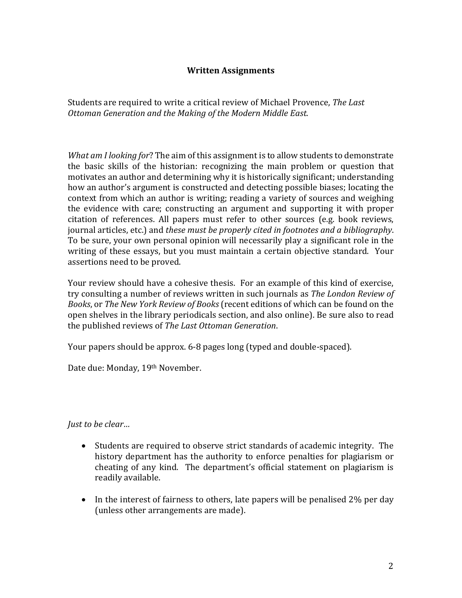## **Written Assignments**

Students are required to write a critical review of Michael Provence, *The Last Ottoman Generation and the Making of the Modern Middle East*.

*What am I looking for*? The aim of this assignment is to allow students to demonstrate the basic skills of the historian: recognizing the main problem or question that motivates an author and determining why it is historically significant; understanding how an author's argument is constructed and detecting possible biases; locating the context from which an author is writing; reading a variety of sources and weighing the evidence with care; constructing an argument and supporting it with proper citation of references. All papers must refer to other sources (e.g. book reviews, journal articles, etc.) and *these must be properly cited in footnotes and a bibliography*. To be sure, your own personal opinion will necessarily play a significant role in the writing of these essays, but you must maintain a certain objective standard. Your assertions need to be proved.

Your review should have a cohesive thesis. For an example of this kind of exercise, try consulting a number of reviews written in such journals as *The London Review of Books*, or *The New York Review of Books* (recent editions of which can be found on the open shelves in the library periodicals section, and also online). Be sure also to read the published reviews of *The Last Ottoman Generation*.

Your papers should be approx. 6-8 pages long (typed and double-spaced).

Date due: Monday, 19th November.

*Just to be clear…*

- Students are required to observe strict standards of academic integrity. The history department has the authority to enforce penalties for plagiarism or cheating of any kind. The department's official statement on plagiarism is readily available.
- In the interest of fairness to others, late papers will be penalised 2% per day (unless other arrangements are made).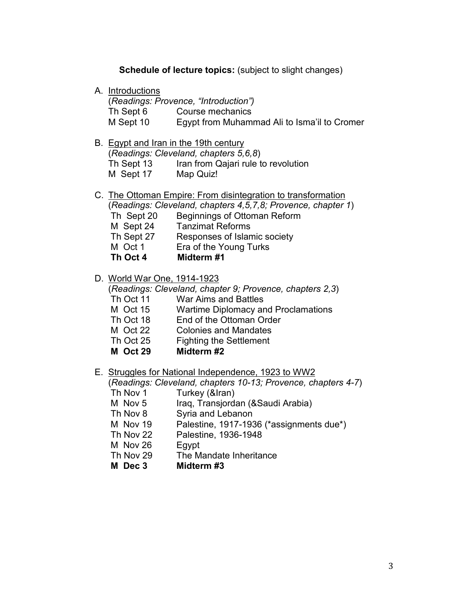## **Schedule of lecture topics:** (subject to slight changes)

A. Introductions

|           | (Readings: Provence, "Introduction")         |
|-----------|----------------------------------------------|
| Th Sept 6 | Course mechanics                             |
| M Sept 10 | Egypt from Muhammad Ali to Isma'il to Cromer |

- B. Egypt and Iran in the 19th century (*Readings: Cleveland, chapters 5,6,8*) Th Sept 13 Iran from Qajari rule to revolution M Sept 17 Map Quiz!
- C. The Ottoman Empire: From disintegration to transformation (*Readings: Cleveland, chapters 4,5,7,8; Provence, chapter 1*) Th Sept 20 Beginnings of Ottoman Reform
	-
	- M Sept 24 Tanzimat Reforms<br>Th Sept 27 Responses of Islan
	- Th Sept 27 Responses of Islamic society<br>M Oct 1 Era of the Young Turks Era of the Young Turks
	-
	- **Th Oct 4 Midterm #1**
- D. World War One, 1914-1923

(*Readings: Cleveland, chapter 9; Provence, chapters 2,3*)

- Th Oct 11 War Aims and Battles
- M Oct 15 Wartime Diplomacy and Proclamations
- Th Oct 18 End of the Ottoman Order
- M Oct 22 Colonies and Mandates
- Th Oct 25 Fighting the Settlement
- **M Oct 29 Midterm #2**
- E. Struggles for National Independence, 1923 to WW2

(*Readings: Cleveland, chapters 10-13; Provence, chapters 4-7*)

- Th Nov 1 Turkey (&Iran)
- M Nov 5 Iraq, Transjordan (&Saudi Arabia)
- Th Nov 8 Syria and Lebanon
- M Nov 19 Palestine, 1917-1936 (\*assignments due\*)
- Th Nov 22 Palestine, 1936-1948
- M Nov 26 Egypt
- Th Nov 29 The Mandate Inheritance
- **M Dec 3 Midterm #3**